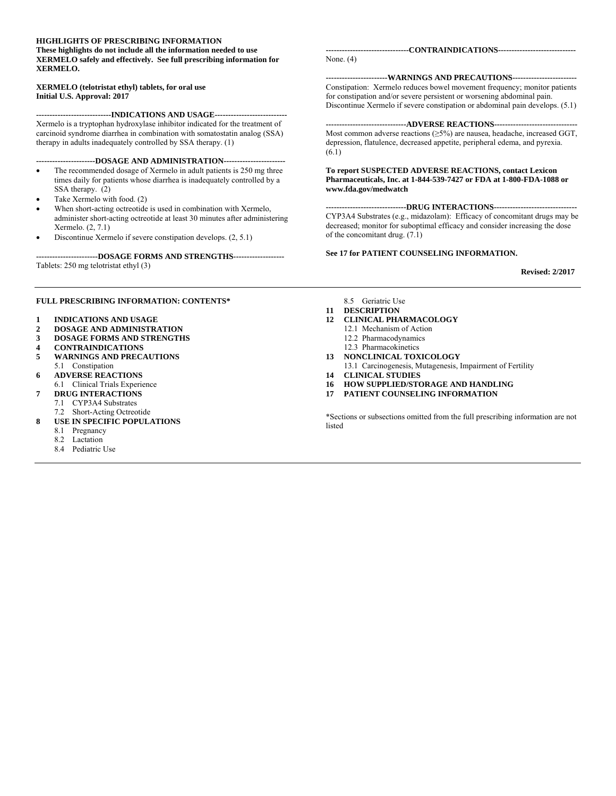#### **HIGHLIGHTS OF PRESCRIBING INFORMATION These highlights do not include all the information needed to use XERMELO safely and effectively. See full prescribing information for XERMELO.**

#### **XERMELO (telotristat ethyl) tablets, for oral use Initial U.S. Approval: 2017**

**----------------------------INDICATIONS AND USAGE---------------------------**  Xermelo is a tryptophan hydroxylase inhibitor indicated for the treatment of carcinoid syndrome diarrhea in combination with somatostatin analog (SSA) therapy in adults inadequately controlled by SSA therapy. (1)

#### **----------------------DOSAGE AND ADMINISTRATION-----------------------**

- The recommended dosage of Xermelo in adult patients is 250 mg three times daily for patients whose diarrhea is inadequately controlled by a SSA therapy. (2)
- Take Xermelo with food. (2)
- When short-acting octreotide is used in combination with Xermelo, administer short-acting octreotide at least 30 minutes after administering Xermelo. (2, 7.1)
- Discontinue Xermelo if severe constipation develops. (2, 5.1)

#### **-----------------------DOSAGE FORMS AND STRENGTHS-------------------**

Tablets: 250 mg telotristat ethyl (3)

#### **FULL PRESCRIBING INFORMATION: CONTENTS\***

- **1 INDICATIONS AND USAGE**
- **2 DOSAGE AND ADMINISTRATION**
- **3 DOSAGE FORMS AND STRENGTHS**
- **4 CONTRAINDICATIONS**
- **5 WARNINGS AND PRECAUTIONS**
- 5.1 Constipation
- **6 ADVERSE REACTIONS**
- 6.1 Clinical Trials Experience
- **7 DRUG INTERACTIONS** 
	- 7.1 CYP3A4 Substrates
	- 7.2 Short-Acting Octreotide
- **8 USE IN SPECIFIC POPULATIONS** 
	- 8.1 Pregnancy
	- 8.2 Lactation
	- 8.4 Pediatric Use

**-------------------------------CONTRAINDICATIONS-----------------------------**  None. (4)

**-----------------------WARNINGS AND PRECAUTIONS------------------------**  Constipation: Xermelo reduces bowel movement frequency; monitor patients for constipation and/or severe persistent or worsening abdominal pain. Discontinue Xermelo if severe constipation or abdominal pain develops. (5.1)

#### **------------------------------ADVERSE REACTIONS-------------------------------**

Most common adverse reactions (≥5%) are nausea, headache, increased GGT, depression, flatulence, decreased appetite, peripheral edema, and pyrexia. (6.1)

#### **To report SUSPECTED ADVERSE REACTIONS, contact Lexicon Pharmaceuticals, Inc. at 1-844-539-7427 or FDA at 1-800-FDA-1088 or www.fda.gov/medwatch**

**------------------------------DRUG INTERACTIONS-------------------------------**  CYP3A4 Substrates (e.g., midazolam): Efficacy of concomitant drugs may be decreased; monitor for suboptimal efficacy and consider increasing the dose of the concomitant drug. (7.1)

#### **See 17 for PATIENT COUNSELING INFORMATION.**

**Revised: 2/2017** 

#### 8.5 Geriatric Use

- **11 DESCRIPTION**
- **12 CLINICAL PHARMACOLOGY** 
	- 12.1 Mechanism of Action 12.2 Pharmacodynamics
	- 12.3 Pharmacokinetics
- **13 NONCLINICAL TOXICOLOGY**
- 13.1 Carcinogenesis, Mutagenesis, Impairment of Fertility
- **14 CLINICAL STUDIES**
- **16 HOW SUPPLIED/STORAGE AND HANDLING**
- **17 PATIENT COUNSELING INFORMATION**

\*Sections or subsections omitted from the full prescribing information are not listed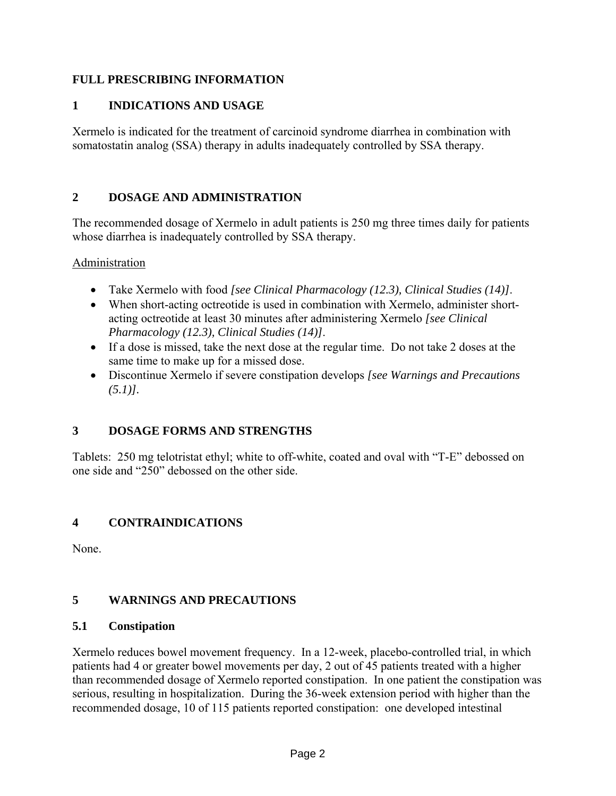## **FULL PRESCRIBING INFORMATION**

## **1 INDICATIONS AND USAGE**

Xermelo is indicated for the treatment of carcinoid syndrome diarrhea in combination with somatostatin analog (SSA) therapy in adults inadequately controlled by SSA therapy.

# **2 DOSAGE AND ADMINISTRATION**

The recommended dosage of Xermelo in adult patients is 250 mg three times daily for patients whose diarrhea is inadequately controlled by SSA therapy.

**Administration** 

- Take Xermelo with food *[see Clinical Pharmacology (12.3), Clinical Studies (14)]*.
- When short-acting octreotide is used in combination with Xermelo, administer shortacting octreotide at least 30 minutes after administering Xermelo *[see Clinical Pharmacology (12.3), Clinical Studies (14)]*.
- If a dose is missed, take the next dose at the regular time. Do not take 2 doses at the same time to make up for a missed dose.
- Discontinue Xermelo if severe constipation develops *[see Warnings and Precautions (5.1)].*

# **3 DOSAGE FORMS AND STRENGTHS**

Tablets: 250 mg telotristat ethyl; white to off-white, coated and oval with "T-E" debossed on one side and "250" debossed on the other side.

# **4 CONTRAINDICATIONS**

None.

# **5 WARNINGS AND PRECAUTIONS**

### **5.1 Constipation**

Xermelo reduces bowel movement frequency. In a 12-week, placebo-controlled trial, in which patients had 4 or greater bowel movements per day, 2 out of 45 patients treated with a higher than recommended dosage of Xermelo reported constipation. In one patient the constipation was serious, resulting in hospitalization. During the 36-week extension period with higher than the recommended dosage, 10 of 115 patients reported constipation: one developed intestinal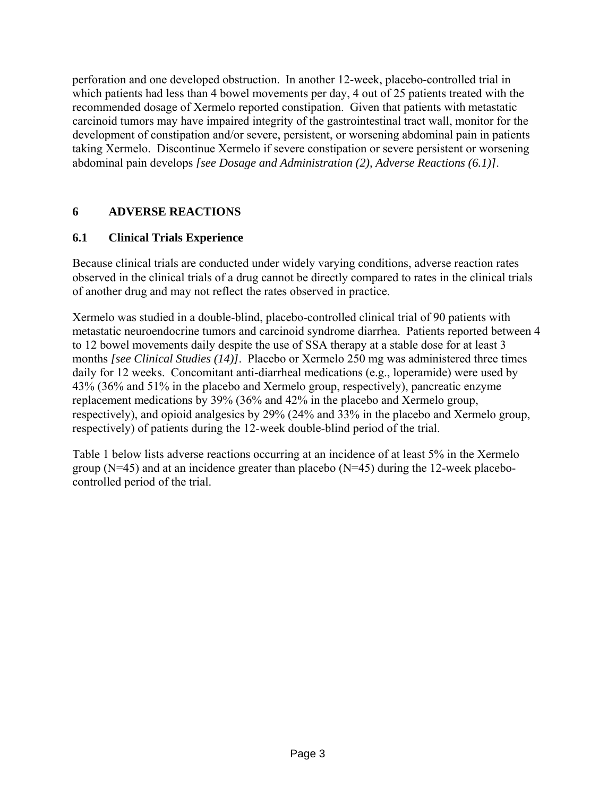perforation and one developed obstruction. In another 12-week, placebo-controlled trial in which patients had less than 4 bowel movements per day, 4 out of 25 patients treated with the recommended dosage of Xermelo reported constipation. Given that patients with metastatic carcinoid tumors may have impaired integrity of the gastrointestinal tract wall, monitor for the development of constipation and/or severe, persistent, or worsening abdominal pain in patients taking Xermelo. Discontinue Xermelo if severe constipation or severe persistent or worsening abdominal pain develops *[see Dosage and Administration (2), Adverse Reactions (6.1)]*.

## **6 ADVERSE REACTIONS**

### **6.1 Clinical Trials Experience**

Because clinical trials are conducted under widely varying conditions, adverse reaction rates observed in the clinical trials of a drug cannot be directly compared to rates in the clinical trials of another drug and may not reflect the rates observed in practice.

Xermelo was studied in a double-blind, placebo-controlled clinical trial of 90 patients with metastatic neuroendocrine tumors and carcinoid syndrome diarrhea. Patients reported between 4 to 12 bowel movements daily despite the use of SSA therapy at a stable dose for at least 3 months *[see Clinical Studies (14)]*. Placebo or Xermelo 250 mg was administered three times daily for 12 weeks. Concomitant anti-diarrheal medications (e.g., loperamide) were used by 43% (36% and 51% in the placebo and Xermelo group, respectively), pancreatic enzyme replacement medications by 39% (36% and 42% in the placebo and Xermelo group, respectively), and opioid analgesics by 29% (24% and 33% in the placebo and Xermelo group, respectively) of patients during the 12-week double-blind period of the trial.

Table 1 below lists adverse reactions occurring at an incidence of at least 5% in the Xermelo group (N=45) and at an incidence greater than placebo (N=45) during the 12-week placebocontrolled period of the trial.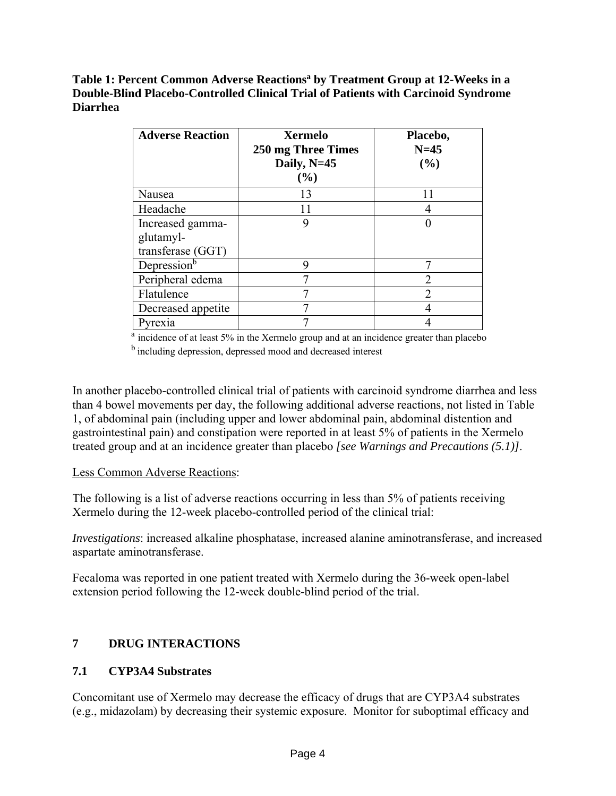### Table 1: Percent Common Adverse Reactions<sup>a</sup> by Treatment Group at 12-Weeks in a **Double-Blind Placebo-Controlled Clinical Trial of Patients with Carcinoid Syndrome Diarrhea**

| <b>Adverse Reaction</b>                            | <b>Xermelo</b><br>250 mg Three Times<br>Daily, $N=45$<br>(%) | Placebo,<br>$N=45$<br>(%)   |
|----------------------------------------------------|--------------------------------------------------------------|-----------------------------|
| Nausea                                             | 13                                                           | 11                          |
| Headache                                           |                                                              |                             |
| Increased gamma-<br>glutamyl-<br>transferase (GGT) |                                                              |                             |
| Depression <sup>b</sup>                            | 9                                                            |                             |
| Peripheral edema                                   |                                                              | $\mathcal{D}_{\mathcal{A}}$ |
| Flatulence                                         |                                                              |                             |
| Decreased appetite                                 |                                                              |                             |
| Pyrexia                                            |                                                              |                             |

<sup>a</sup> incidence of at least 5% in the Xermelo group and at an incidence greater than placebo

<sup>b</sup> including depression, depressed mood and decreased interest

In another placebo-controlled clinical trial of patients with carcinoid syndrome diarrhea and less than 4 bowel movements per day, the following additional adverse reactions, not listed in Table 1, of abdominal pain (including upper and lower abdominal pain, abdominal distention and gastrointestinal pain) and constipation were reported in at least 5% of patients in the Xermelo treated group and at an incidence greater than placebo *[see Warnings and Precautions (5.1)]*.

# Less Common Adverse Reactions:

The following is a list of adverse reactions occurring in less than 5% of patients receiving Xermelo during the 12-week placebo-controlled period of the clinical trial:

*Investigations*: increased alkaline phosphatase, increased alanine aminotransferase, and increased aspartate aminotransferase.

Fecaloma was reported in one patient treated with Xermelo during the 36-week open-label extension period following the 12-week double-blind period of the trial.

# **7 DRUG INTERACTIONS**

# **7.1 CYP3A4 Substrates**

Concomitant use of Xermelo may decrease the efficacy of drugs that are CYP3A4 substrates (e.g., midazolam) by decreasing their systemic exposure. Monitor for suboptimal efficacy and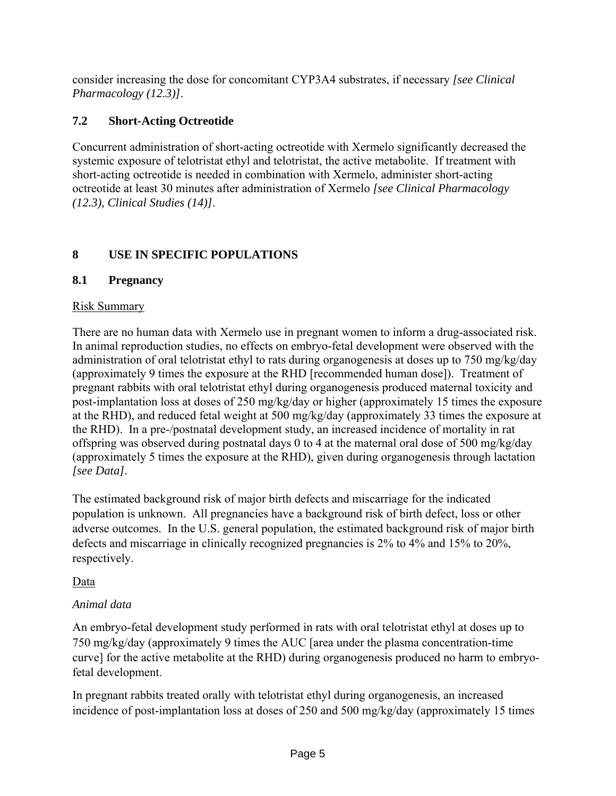consider increasing the dose for concomitant CYP3A4 substrates, if necessary *[see Clinical Pharmacology (12.3)]*.

# **7.2 Short-Acting Octreotide**

Concurrent administration of short-acting octreotide with Xermelo significantly decreased the systemic exposure of telotristat ethyl and telotristat, the active metabolite. If treatment with short-acting octreotide is needed in combination with Xermelo, administer short-acting octreotide at least 30 minutes after administration of Xermelo *[see Clinical Pharmacology (12.3), Clinical Studies (14)]*.

# **8 USE IN SPECIFIC POPULATIONS**

# **8.1 Pregnancy**

# Risk Summary

There are no human data with Xermelo use in pregnant women to inform a drug-associated risk. In animal reproduction studies, no effects on embryo-fetal development were observed with the administration of oral telotristat ethyl to rats during organogenesis at doses up to 750 mg/kg/day (approximately 9 times the exposure at the RHD [recommended human dose]). Treatment of pregnant rabbits with oral telotristat ethyl during organogenesis produced maternal toxicity and post-implantation loss at doses of 250 mg/kg/day or higher (approximately 15 times the exposure at the RHD), and reduced fetal weight at 500 mg/kg/day (approximately 33 times the exposure at the RHD). In a pre-/postnatal development study, an increased incidence of mortality in rat offspring was observed during postnatal days 0 to 4 at the maternal oral dose of 500 mg/kg/day (approximately 5 times the exposure at the RHD), given during organogenesis through lactation *[see Data]*.

The estimated background risk of major birth defects and miscarriage for the indicated population is unknown. All pregnancies have a background risk of birth defect, loss or other adverse outcomes. In the U.S. general population, the estimated background risk of major birth defects and miscarriage in clinically recognized pregnancies is 2% to 4% and 15% to 20%, respectively.

# Data

# *Animal data*

An embryo-fetal development study performed in rats with oral telotristat ethyl at doses up to 750 mg/kg/day (approximately 9 times the AUC [area under the plasma concentration-time curve] for the active metabolite at the RHD) during organogenesis produced no harm to embryofetal development.

In pregnant rabbits treated orally with telotristat ethyl during organogenesis, an increased incidence of post-implantation loss at doses of 250 and 500 mg/kg/day (approximately 15 times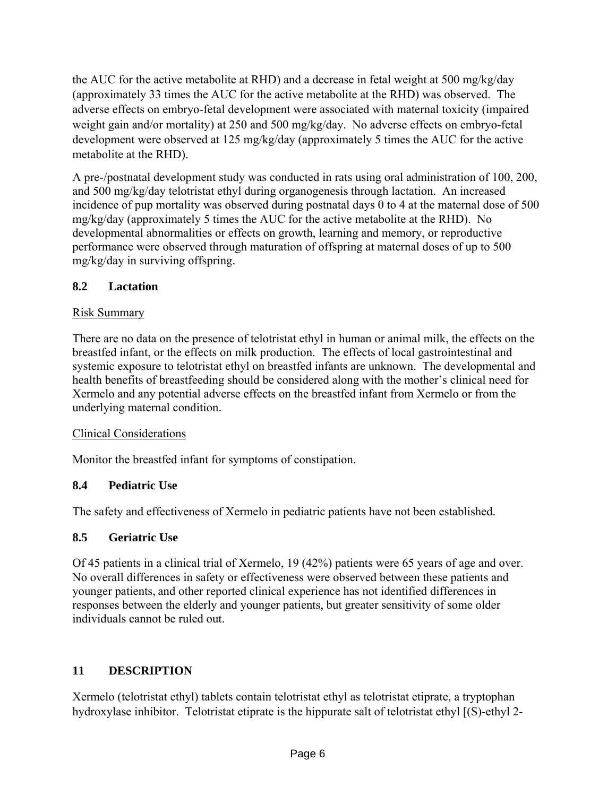the AUC for the active metabolite at RHD) and a decrease in fetal weight at 500 mg/kg/day (approximately 33 times the AUC for the active metabolite at the RHD) was observed. The adverse effects on embryo-fetal development were associated with maternal toxicity (impaired weight gain and/or mortality) at 250 and 500 mg/kg/day. No adverse effects on embryo-fetal development were observed at 125 mg/kg/day (approximately 5 times the AUC for the active metabolite at the RHD).

A pre-/postnatal development study was conducted in rats using oral administration of 100, 200, and 500 mg/kg/day telotristat ethyl during organogenesis through lactation. An increased incidence of pup mortality was observed during postnatal days 0 to 4 at the maternal dose of 500 mg/kg/day (approximately 5 times the AUC for the active metabolite at the RHD). No developmental abnormalities or effects on growth, learning and memory, or reproductive performance were observed through maturation of offspring at maternal doses of up to 500 mg/kg/day in surviving offspring.

## **8.2 Lactation**

### Risk Summary

There are no data on the presence of telotristat ethyl in human or animal milk, the effects on the breastfed infant, or the effects on milk production. The effects of local gastrointestinal and systemic exposure to telotristat ethyl on breastfed infants are unknown. The developmental and health benefits of breastfeeding should be considered along with the mother's clinical need for Xermelo and any potential adverse effects on the breastfed infant from Xermelo or from the underlying maternal condition.

### Clinical Considerations

Monitor the breastfed infant for symptoms of constipation.

### **8.4 Pediatric Use**

The safety and effectiveness of Xermelo in pediatric patients have not been established.

### **8.5 Geriatric Use**

Of 45 patients in a clinical trial of Xermelo, 19 (42%) patients were 65 years of age and over. No overall differences in safety or effectiveness were observed between these patients and younger patients, and other reported clinical experience has not identified differences in responses between the elderly and younger patients, but greater sensitivity of some older individuals cannot be ruled out.

# **11 DESCRIPTION**

Xermelo (telotristat ethyl) tablets contain telotristat ethyl as telotristat etiprate, a tryptophan hydroxylase inhibitor. Telotristat etiprate is the hippurate salt of telotristat ethyl [(S)-ethyl 2-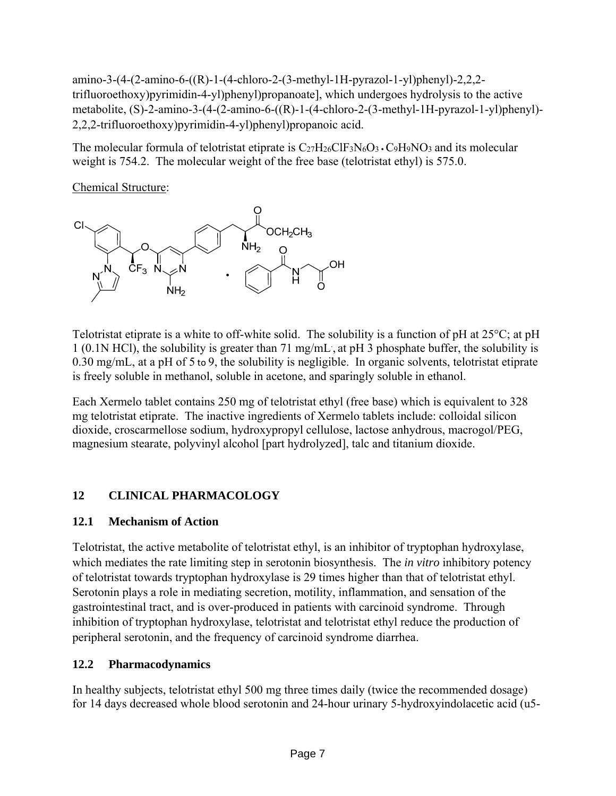amino-3-(4-(2-amino-6-((R)-1-(4-chloro-2-(3-methyl-1H-pyrazol-1-yl)phenyl)-2,2,2 trifluoroethoxy)pyrimidin-4-yl)phenyl)propanoate], which undergoes hydrolysis to the active metabolite, (S)-2-amino-3-(4-(2-amino-6-((R)-1-(4-chloro-2-(3-methyl-1H-pyrazol-1-yl)phenyl)- 2,2,2-trifluoroethoxy)pyrimidin-4-yl)phenyl)propanoic acid.

The molecular formula of telotristat etiprate is  $C_{27}H_{26}CIF_3N_6O_3 \cdot C_9H_9NO_3$  and its molecular weight is 754.2. The molecular weight of the free base (telotristat ethyl) is 575.0.

Chemical Structure:



Telotristat etiprate is a white to off-white solid. The solubility is a function of pH at 25°C; at pH 1 (0.1N HCl), the solubility is greater than 71 mg/mL. , at pH 3 phosphate buffer, the solubility is 0.30 mg/mL, at a pH of 5 to 9, the solubility is negligible. In organic solvents, telotristat etiprate is freely soluble in methanol, soluble in acetone, and sparingly soluble in ethanol.

Each Xermelo tablet contains 250 mg of telotristat ethyl (free base) which is equivalent to 328 mg telotristat etiprate. The inactive ingredients of Xermelo tablets include: colloidal silicon dioxide, croscarmellose sodium, hydroxypropyl cellulose, lactose anhydrous, macrogol/PEG, magnesium stearate, polyvinyl alcohol [part hydrolyzed], talc and titanium dioxide.

# **12 CLINICAL PHARMACOLOGY**

# **12.1 Mechanism of Action**

Telotristat, the active metabolite of telotristat ethyl, is an inhibitor of tryptophan hydroxylase, which mediates the rate limiting step in serotonin biosynthesis. The *in vitro* inhibitory potency of telotristat towards tryptophan hydroxylase is 29 times higher than that of telotristat ethyl. Serotonin plays a role in mediating secretion, motility, inflammation, and sensation of the gastrointestinal tract, and is over-produced in patients with carcinoid syndrome. Through inhibition of tryptophan hydroxylase, telotristat and telotristat ethyl reduce the production of peripheral serotonin, and the frequency of carcinoid syndrome diarrhea.

# **12.2 Pharmacodynamics**

In healthy subjects, telotristat ethyl 500 mg three times daily (twice the recommended dosage) for 14 days decreased whole blood serotonin and 24-hour urinary 5-hydroxyindolacetic acid (u5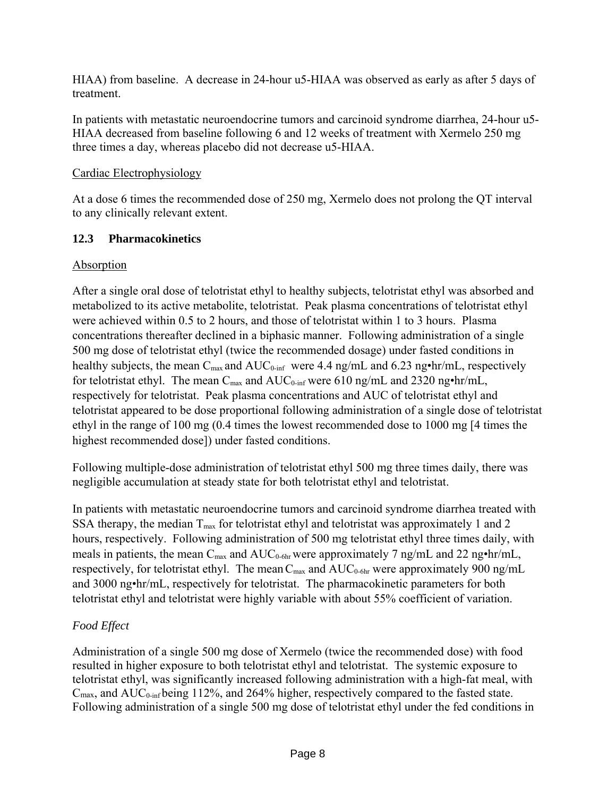HIAA) from baseline. A decrease in 24-hour u5-HIAA was observed as early as after 5 days of treatment.

In patients with metastatic neuroendocrine tumors and carcinoid syndrome diarrhea, 24-hour u5- HIAA decreased from baseline following 6 and 12 weeks of treatment with Xermelo 250 mg three times a day, whereas placebo did not decrease u5-HIAA.

# Cardiac Electrophysiology

At a dose 6 times the recommended dose of 250 mg, Xermelo does not prolong the QT interval to any clinically relevant extent.

# **12.3 Pharmacokinetics**

# Absorption

After a single oral dose of telotristat ethyl to healthy subjects, telotristat ethyl was absorbed and metabolized to its active metabolite, telotristat. Peak plasma concentrations of telotristat ethyl were achieved within 0.5 to 2 hours, and those of telotristat within 1 to 3 hours. Plasma concentrations thereafter declined in a biphasic manner. Following administration of a single 500 mg dose of telotristat ethyl (twice the recommended dosage) under fasted conditions in healthy subjects, the mean  $C_{\text{max}}$  and  $AUC_{0\text{-inf}}$  were 4.4 ng/mL and 6.23 ng•hr/mL, respectively for telotristat ethyl. The mean  $C_{\text{max}}$  and  $AUC_{0\text{-inf}}$  were 610 ng/mL and 2320 ng•hr/mL, respectively for telotristat. Peak plasma concentrations and AUC of telotristat ethyl and telotristat appeared to be dose proportional following administration of a single dose of telotristat ethyl in the range of 100 mg (0.4 times the lowest recommended dose to 1000 mg [4 times the highest recommended dose]) under fasted conditions.

Following multiple-dose administration of telotristat ethyl 500 mg three times daily, there was negligible accumulation at steady state for both telotristat ethyl and telotristat.

In patients with metastatic neuroendocrine tumors and carcinoid syndrome diarrhea treated with SSA therapy, the median  $T_{\text{max}}$  for telotristat ethyl and telotristat was approximately 1 and 2 hours, respectively. Following administration of 500 mg telotristat ethyl three times daily, with meals in patients, the mean  $C_{\text{max}}$  and  $AUC_{0.6hr}$  were approximately 7 ng/mL and 22 ng•hr/mL, respectively, for telotristat ethyl. The mean  $C_{\text{max}}$  and  $AUC_{0-6hr}$  were approximately 900 ng/mL and 3000 ng•hr/mL, respectively for telotristat. The pharmacokinetic parameters for both telotristat ethyl and telotristat were highly variable with about 55% coefficient of variation.

# *Food Effect*

Administration of a single 500 mg dose of Xermelo (twice the recommended dose) with food resulted in higher exposure to both telotristat ethyl and telotristat. The systemic exposure to telotristat ethyl, was significantly increased following administration with a high-fat meal, with  $C_{\text{max}}$ , and  $AUC_{0\text{-inf}}$  being 112%, and 264% higher, respectively compared to the fasted state. Following administration of a single 500 mg dose of telotristat ethyl under the fed conditions in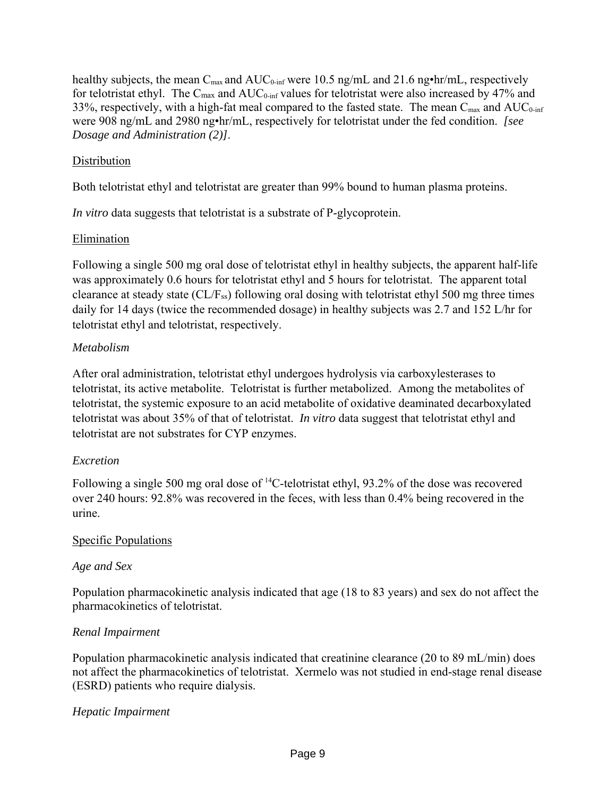healthy subjects, the mean  $C_{\text{max}}$  and  $AUC_{0\text{-inf}}$  were 10.5 ng/mL and 21.6 ng•hr/mL, respectively for telotristat ethyl. The  $C_{\text{max}}$  and  $AUC_{0\text{-inf}}$  values for telotristat were also increased by 47% and 33%, respectively, with a high-fat meal compared to the fasted state. The mean  $C_{\text{max}}$  and  $AUC_{0\text{-inf}}$ were 908 ng/mL and 2980 ng•hr/mL, respectively for telotristat under the fed condition. *[see Dosage and Administration (2)]*.

## **Distribution**

Both telotristat ethyl and telotristat are greater than 99% bound to human plasma proteins.

*In vitro* data suggests that telotristat is a substrate of P-glycoprotein.

## Elimination

Following a single 500 mg oral dose of telotristat ethyl in healthy subjects, the apparent half-life was approximately 0.6 hours for telotristat ethyl and 5 hours for telotristat. The apparent total clearance at steady state (CL/Fss) following oral dosing with telotristat ethyl 500 mg three times daily for 14 days (twice the recommended dosage) in healthy subjects was 2.7 and 152 L/hr for telotristat ethyl and telotristat, respectively.

## *Metabolism*

After oral administration, telotristat ethyl undergoes hydrolysis via carboxylesterases to telotristat, its active metabolite. Telotristat is further metabolized. Among the metabolites of telotristat, the systemic exposure to an acid metabolite of oxidative deaminated decarboxylated telotristat was about 35% of that of telotristat. *In vitro* data suggest that telotristat ethyl and telotristat are not substrates for CYP enzymes.

# *Excretion*

Following a single 500 mg oral dose of <sup>14</sup>C-telotristat ethyl, 93.2% of the dose was recovered over 240 hours: 92.8% was recovered in the feces, with less than 0.4% being recovered in the urine.

### Specific Populations

### *Age and Sex*

Population pharmacokinetic analysis indicated that age (18 to 83 years) and sex do not affect the pharmacokinetics of telotristat.

# *Renal Impairment*

Population pharmacokinetic analysis indicated that creatinine clearance (20 to 89 mL/min) does not affect the pharmacokinetics of telotristat. Xermelo was not studied in end-stage renal disease (ESRD) patients who require dialysis.

### *Hepatic Impairment*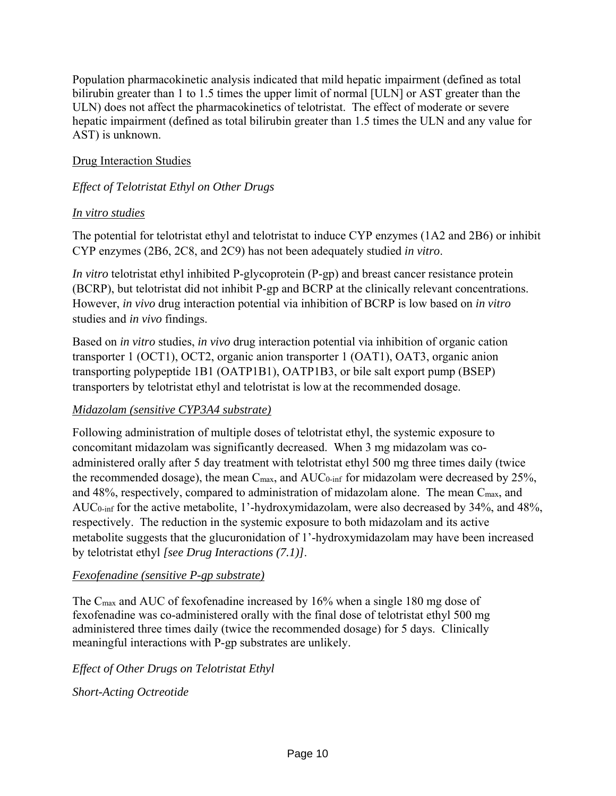Population pharmacokinetic analysis indicated that mild hepatic impairment (defined as total bilirubin greater than 1 to 1.5 times the upper limit of normal [ULN] or AST greater than the ULN) does not affect the pharmacokinetics of telotristat. The effect of moderate or severe hepatic impairment (defined as total bilirubin greater than 1.5 times the ULN and any value for AST) is unknown.

### Drug Interaction Studies

## *Effect of Telotristat Ethyl on Other Drugs*

### *In vitro studies*

The potential for telotristat ethyl and telotristat to induce CYP enzymes (1A2 and 2B6) or inhibit CYP enzymes (2B6, 2C8, and 2C9) has not been adequately studied *in vitro*.

*In vitro* telotristat ethyl inhibited P-glycoprotein (P-gp) and breast cancer resistance protein (BCRP), but telotristat did not inhibit P-gp and BCRP at the clinically relevant concentrations. However, *in vivo* drug interaction potential via inhibition of BCRP is low based on *in vitro* studies and *in vivo* findings.

Based on *in vitro* studies, *in vivo* drug interaction potential via inhibition of organic cation transporter 1 (OCT1), OCT2, organic anion transporter 1 (OAT1), OAT3, organic anion transporting polypeptide 1B1 (OATP1B1), OATP1B3, or bile salt export pump (BSEP) transporters by telotristat ethyl and telotristat is low at the recommended dosage.

### *Midazolam (sensitive CYP3A4 substrate)*

Following administration of multiple doses of telotristat ethyl, the systemic exposure to concomitant midazolam was significantly decreased. When 3 mg midazolam was coadministered orally after 5 day treatment with telotristat ethyl 500 mg three times daily (twice the recommended dosage), the mean  $C_{\text{max}}$ , and  $AUC_{0\text{-inf}}$  for midazolam were decreased by 25%, and  $48\%$ , respectively, compared to administration of midazolam alone. The mean  $C_{\text{max}}$ , and AUC0-inf for the active metabolite, 1'-hydroxymidazolam, were also decreased by 34%, and 48%, respectively. The reduction in the systemic exposure to both midazolam and its active metabolite suggests that the glucuronidation of 1'-hydroxymidazolam may have been increased by telotristat ethyl *[see Drug Interactions (7.1)]*.

### *Fexofenadine (sensitive P-gp substrate)*

The Cmax and AUC of fexofenadine increased by 16% when a single 180 mg dose of fexofenadine was co-administered orally with the final dose of telotristat ethyl 500 mg administered three times daily (twice the recommended dosage) for 5 days. Clinically meaningful interactions with P-gp substrates are unlikely.

# *Effect of Other Drugs on Telotristat Ethyl*

*Short-Acting Octreotide*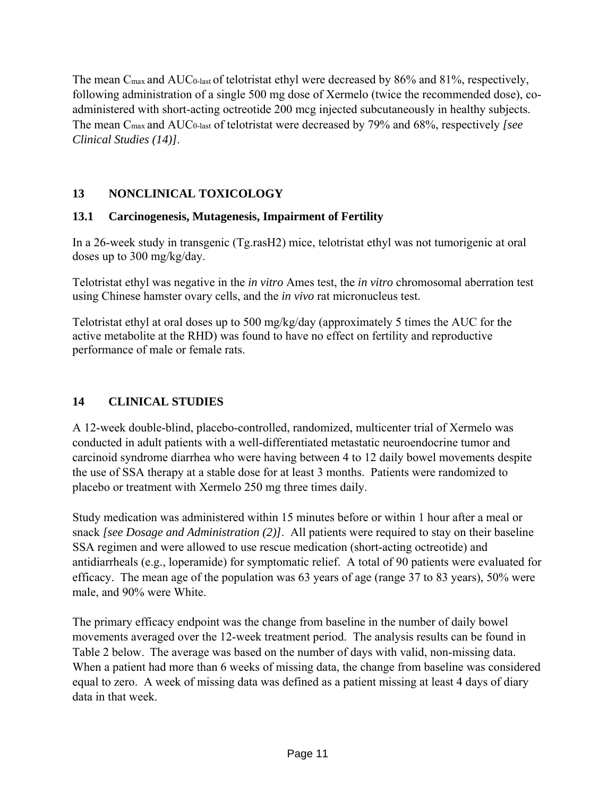The mean C<sub>max</sub> and AUC<sub>0-last</sub> of telotristat ethyl were decreased by 86% and 81%, respectively, following administration of a single 500 mg dose of Xermelo (twice the recommended dose), coadministered with short-acting octreotide 200 mcg injected subcutaneously in healthy subjects. The mean Cmax and AUC0-last of telotristat were decreased by 79% and 68%, respectively *[see Clinical Studies (14)]*.

# **13 NONCLINICAL TOXICOLOGY**

# **13.1 Carcinogenesis, Mutagenesis, Impairment of Fertility**

In a 26-week study in transgenic (Tg.rasH2) mice, telotristat ethyl was not tumorigenic at oral doses up to 300 mg/kg/day.

Telotristat ethyl was negative in the *in vitro* Ames test, the *in vitro* chromosomal aberration test using Chinese hamster ovary cells, and the *in vivo* rat micronucleus test.

Telotristat ethyl at oral doses up to 500 mg/kg/day (approximately 5 times the AUC for the active metabolite at the RHD) was found to have no effect on fertility and reproductive performance of male or female rats.

# **14 CLINICAL STUDIES**

A 12-week double-blind, placebo-controlled, randomized, multicenter trial of Xermelo was conducted in adult patients with a well-differentiated metastatic neuroendocrine tumor and carcinoid syndrome diarrhea who were having between 4 to 12 daily bowel movements despite the use of SSA therapy at a stable dose for at least 3 months. Patients were randomized to placebo or treatment with Xermelo 250 mg three times daily.

Study medication was administered within 15 minutes before or within 1 hour after a meal or snack *[see Dosage and Administration (2)]*. All patients were required to stay on their baseline SSA regimen and were allowed to use rescue medication (short-acting octreotide) and antidiarrheals (e.g., loperamide) for symptomatic relief. A total of 90 patients were evaluated for efficacy. The mean age of the population was 63 years of age (range 37 to 83 years), 50% were male, and 90% were White.

The primary efficacy endpoint was the change from baseline in the number of daily bowel movements averaged over the 12-week treatment period. The analysis results can be found in Table 2 below. The average was based on the number of days with valid, non-missing data. When a patient had more than 6 weeks of missing data, the change from baseline was considered equal to zero. A week of missing data was defined as a patient missing at least 4 days of diary data in that week.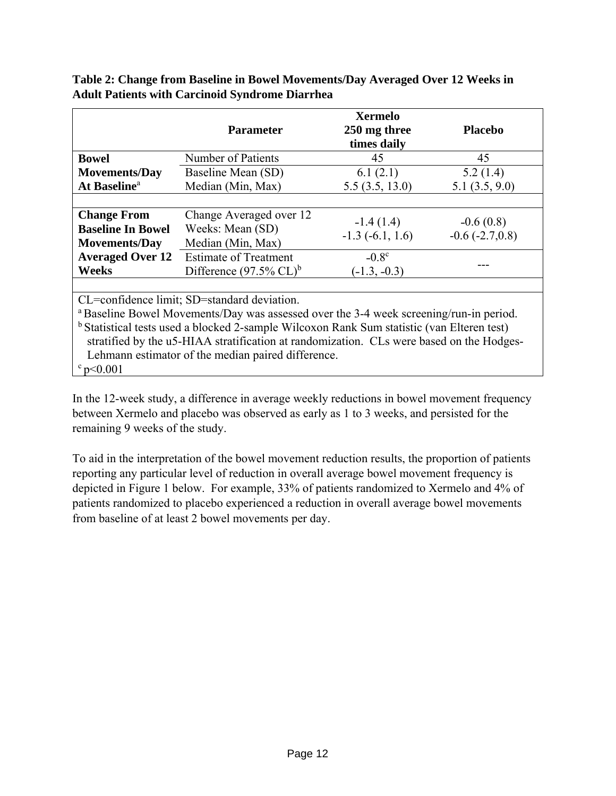|                                                                                                                                                                                                                                                                                                                                                       | <b>Parameter</b>                                                   | <b>Xermelo</b><br>250 mg three<br>times daily | <b>Placebo</b>                      |  |
|-------------------------------------------------------------------------------------------------------------------------------------------------------------------------------------------------------------------------------------------------------------------------------------------------------------------------------------------------------|--------------------------------------------------------------------|-----------------------------------------------|-------------------------------------|--|
| <b>Bowel</b>                                                                                                                                                                                                                                                                                                                                          | Number of Patients                                                 | 45                                            | 45                                  |  |
| <b>Movements/Day</b>                                                                                                                                                                                                                                                                                                                                  | Baseline Mean (SD)                                                 | 6.1(2.1)                                      | 5.2(1.4)                            |  |
| At Baseline <sup>a</sup>                                                                                                                                                                                                                                                                                                                              | Median (Min, Max)                                                  | 5.5(3.5, 13.0)                                | 5.1(3.5, 9.0)                       |  |
|                                                                                                                                                                                                                                                                                                                                                       |                                                                    |                                               |                                     |  |
| <b>Change From</b><br><b>Baseline In Bowel</b><br><b>Movements/Day</b>                                                                                                                                                                                                                                                                                | Change Averaged over 12<br>Weeks: Mean (SD)<br>Median (Min, Max)   | $-1.4(1.4)$<br>$-1.3(-6.1, 1.6)$              | $-0.6(0.8)$<br>$-0.6$ $(-2.7, 0.8)$ |  |
| <b>Averaged Over 12</b><br><b>Weeks</b>                                                                                                                                                                                                                                                                                                               | <b>Estimate of Treatment</b><br>Difference $(97.5\% \text{ CL})^b$ | $-0.8c$<br>$(-1.3, -0.3)$                     |                                     |  |
| CL=confidence limit; SD=standard deviation.<br><sup>a</sup> Baseline Bowel Movements/Day was assessed over the 3-4 week screening/run-in period.<br><sup>b</sup> Statistical tests used a blocked 2-sample Wilcoxon Rank Sum statistic (van Elteren test)<br>stratified by the u5-HIAA stratification at randomization. CLs were based on the Hodges- |                                                                    |                                               |                                     |  |

**Table 2: Change from Baseline in Bowel Movements/Day Averaged Over 12 Weeks in Adult Patients with Carcinoid Syndrome Diarrhea** 

Lehmann estimator of the median paired difference.  $\degree$  p<0.001

In the 12-week study, a difference in average weekly reductions in bowel movement frequency between Xermelo and placebo was observed as early as 1 to 3 weeks, and persisted for the remaining 9 weeks of the study.

To aid in the interpretation of the bowel movement reduction results, the proportion of patients reporting any particular level of reduction in overall average bowel movement frequency is depicted in Figure 1 below. For example, 33% of patients randomized to Xermelo and 4% of patients randomized to placebo experienced a reduction in overall average bowel movements from baseline of at least 2 bowel movements per day.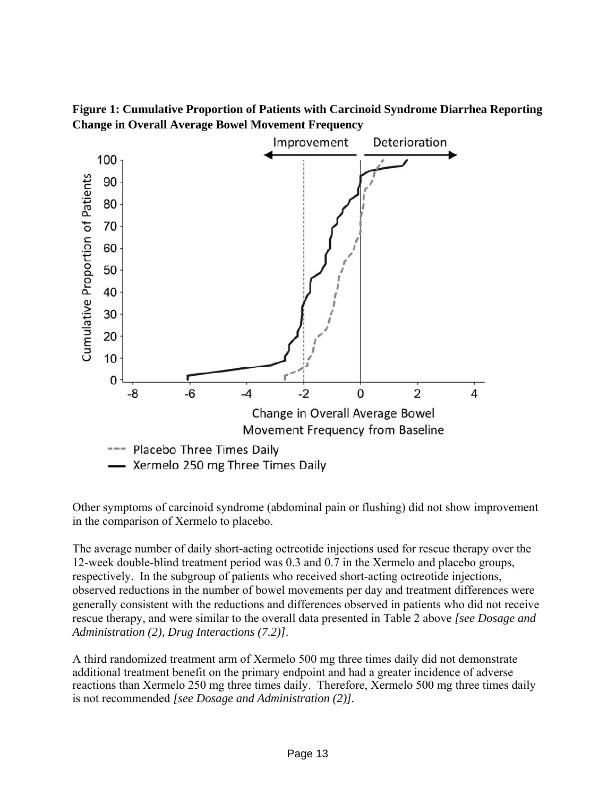



Other symptoms of carcinoid syndrome (abdominal pain or flushing) did not show improvement in the comparison of Xermelo to placebo.

The average number of daily short-acting octreotide injections used for rescue therapy over the 12-week double-blind treatment period was 0.3 and 0.7 in the Xermelo and placebo groups, respectively. In the subgroup of patients who received short-acting octreotide injections, observed reductions in the number of bowel movements per day and treatment differences were generally consistent with the reductions and differences observed in patients who did not receive rescue therapy, and were similar to the overall data presented in Table 2 above *[see Dosage and Administration (2), Drug Interactions (7.2)]*.

A third randomized treatment arm of Xermelo 500 mg three times daily did not demonstrate additional treatment benefit on the primary endpoint and had a greater incidence of adverse reactions than Xermelo 250 mg three times daily. Therefore, Xermelo 500 mg three times daily is not recommended *[see Dosage and Administration (2)].*